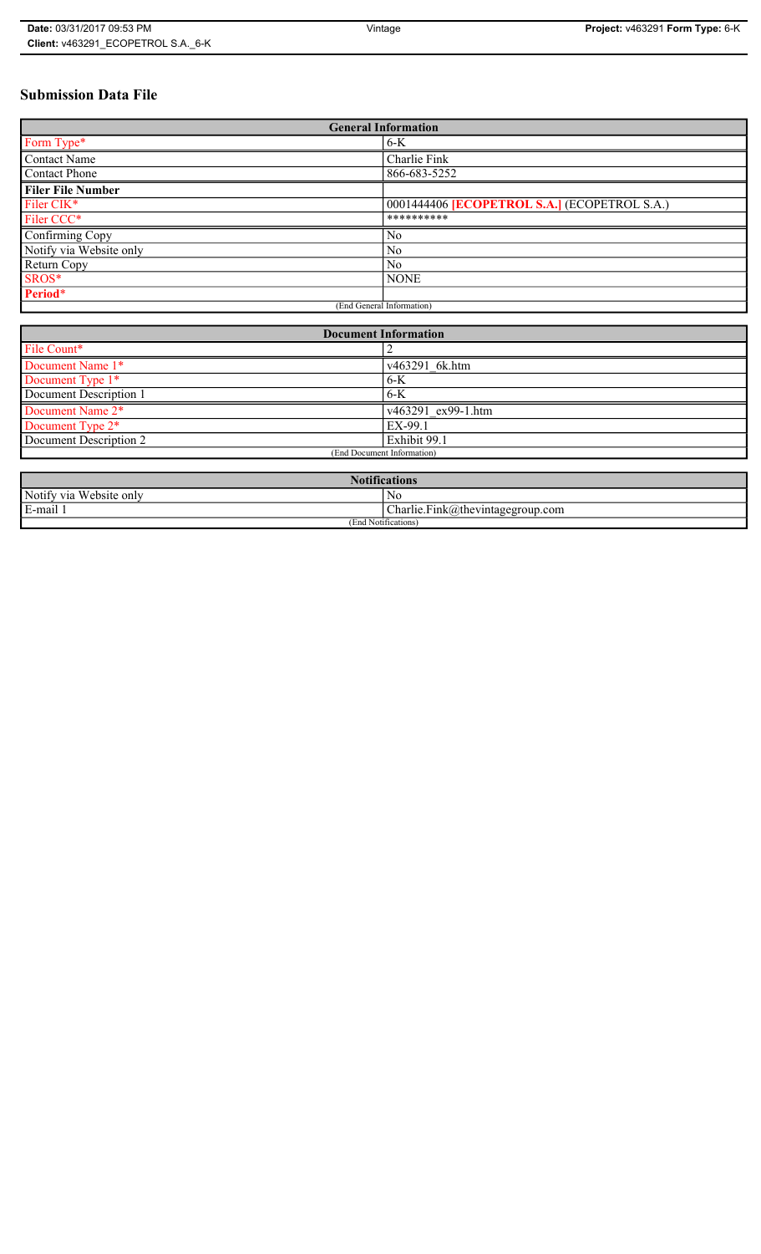# **Submission Data File**

| <b>General Information</b> |                                                     |
|----------------------------|-----------------------------------------------------|
| Form Type*                 | $6-K$                                               |
| <b>Contact Name</b>        | Charlie Fink                                        |
| <b>Contact Phone</b>       | 866-683-5252                                        |
| <b>Filer File Number</b>   |                                                     |
| Filer CIK <sup>*</sup>     | 0001444406 <b>[ECOPETROL S.A.]</b> (ECOPETROL S.A.) |
| Filer CCC*                 | **********                                          |
| Confirming Copy            | No                                                  |
| Notify via Website only    | N <sub>0</sub>                                      |
| Return Copy                | N <sub>0</sub>                                      |
| SROS*                      | <b>NONE</b>                                         |
| Period*                    |                                                     |
| (End General Information)  |                                                     |

| <b>Document Information</b>  |                    |
|------------------------------|--------------------|
| File Count*                  |                    |
| Document Name 1*             | v463291 6k.htm     |
| Document Type 1*             | 6-K                |
| Document Description 1       | $6-K$              |
| Document Name 2*             | v463291 ex99-1.htm |
| Document Type 2 <sup>*</sup> | EX-99.1            |
| Document Description 2       | Exhibit 99.1       |
| (End Document Information)   |                    |
|                              |                    |

| <b>Notifications</b>    |                                  |  |
|-------------------------|----------------------------------|--|
| Notify via Website only | N0                               |  |
| E-mail                  | Charlie.Fink@thevintagegroup.com |  |
| (End Notifications)     |                                  |  |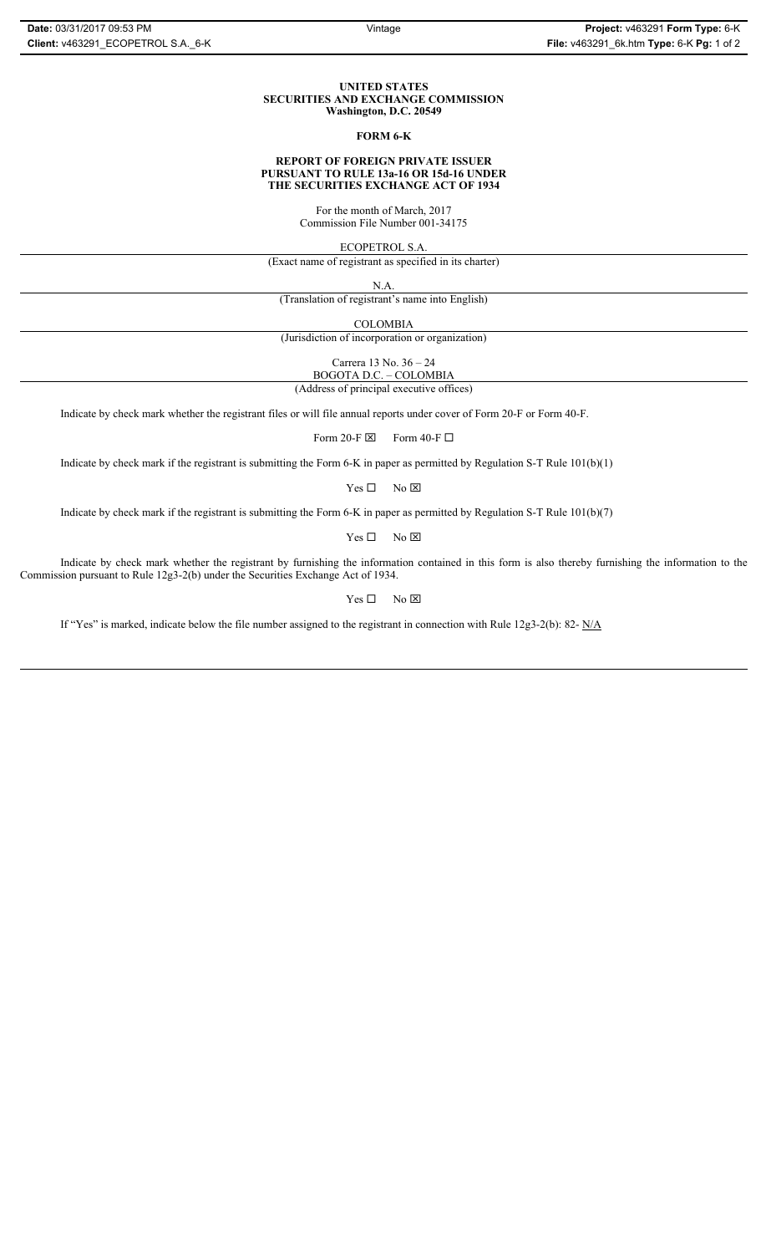#### **UNITED STATES SECURITIES AND EXCHANGE COMMISSION Washington, D.C. 20549**

#### **FORM 6-K**

#### **REPORT OF FOREIGN PRIVATE ISSUER PURSUANT TO RULE 13a-16 OR 15d-16 UNDER THE SECURITIES EXCHANGE ACT OF 1934**

For the month of March, 2017 Commission File Number 001-34175

ECOPETROL S.A.

(Exact name of registrant as specified in its charter)

N.A.

(Translation of registrant's name into English)

COLOMBIA

(Jurisdiction of incorporation or organization)

Carrera 13 No. 36 – 24

BOGOTA D.C. – COLOMBIA (Address of principal executive offices)

Indicate by check mark whether the registrant files or will file annual reports under cover of Form 20-F or Form 40-F.

Form 20-F  $\boxtimes$  Form 40-F  $\Box$ 

Indicate by check mark if the registrant is submitting the Form 6-K in paper as permitted by Regulation S-T Rule 101(b)(1)

 $Yes \Box$  No  $\boxtimes$ 

Indicate by check mark if the registrant is submitting the Form 6-K in paper as permitted by Regulation S-T Rule 101(b)(7)

 $Yes \Box$  No  $\boxtimes$ 

Indicate by check mark whether the registrant by furnishing the information contained in this form is also thereby furnishing the information to the Commission pursuant to Rule 12g3-2(b) under the Securities Exchange Act of 1934.

 $Yes \Box$  No  $\boxtimes$ 

If "Yes" is marked, indicate below the file number assigned to the registrant in connection with Rule 12g3-2(b): 82- N/A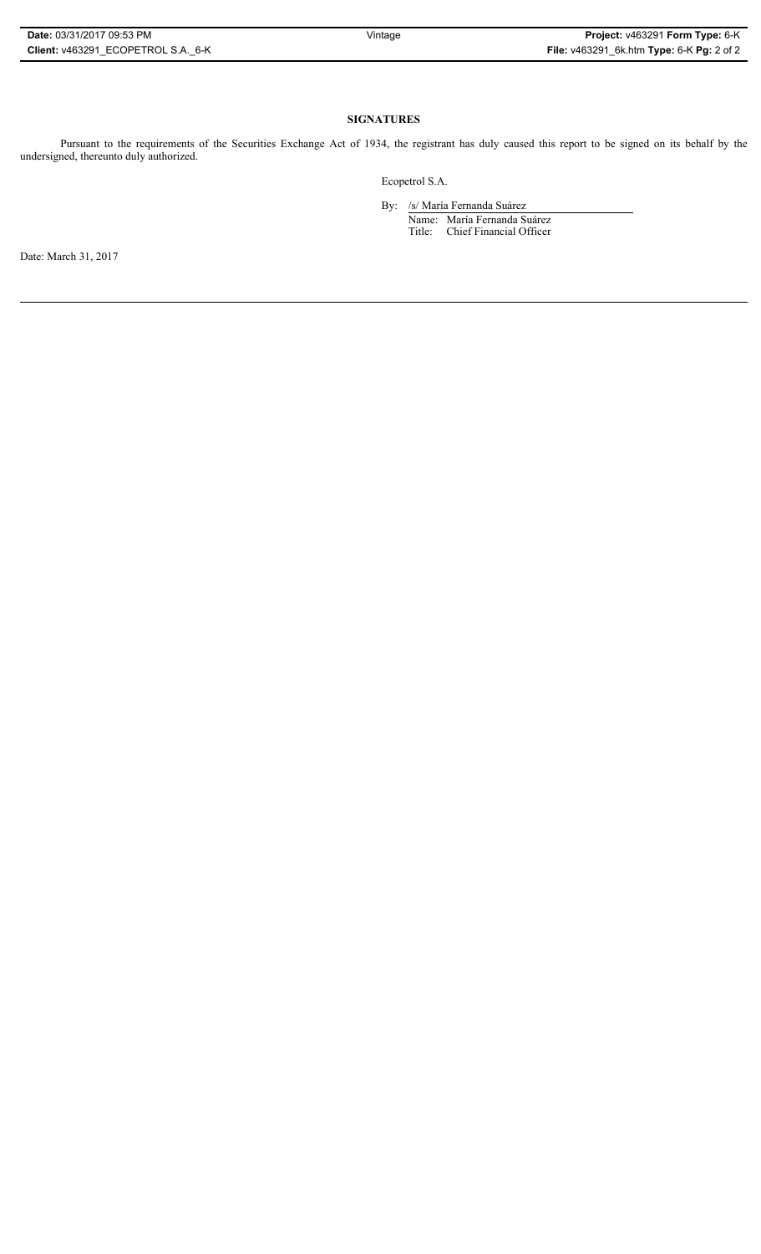## **SIGNATURES**

Pursuant to the requirements of the Securities Exchange Act of 1934, the registrant has duly caused this report to be signed on its behalf by the undersigned, thereunto duly authorized.

Ecopetrol S.A.

By: /s/ María Fernanda Suárez Name: María Fernanda Suárez Title: Chief Financial Officer

Date: March 31, 2017